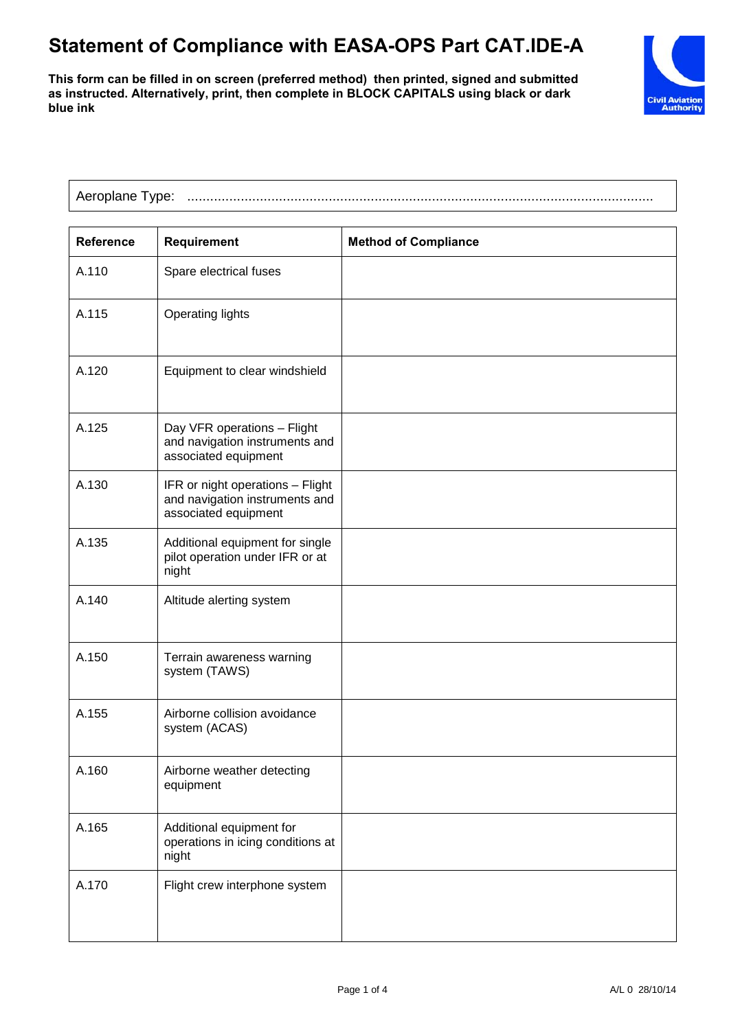## **Statement of Compliance with EASA-OPS Part CAT.IDE-A**

**This form can be filled in on screen (preferred method) then printed, signed and submitted as instructed. Alternatively, print, then complete in BLOCK CAPITALS using black or dark blue ink**



| Aeroplane Type: |  |
|-----------------|--|
|                 |  |

| <b>Reference</b> | Requirement                                                                                | <b>Method of Compliance</b> |
|------------------|--------------------------------------------------------------------------------------------|-----------------------------|
| A.110            | Spare electrical fuses                                                                     |                             |
| A.115            | <b>Operating lights</b>                                                                    |                             |
| A.120            | Equipment to clear windshield                                                              |                             |
| A.125            | Day VFR operations - Flight<br>and navigation instruments and<br>associated equipment      |                             |
| A.130            | IFR or night operations - Flight<br>and navigation instruments and<br>associated equipment |                             |
| A.135            | Additional equipment for single<br>pilot operation under IFR or at<br>night                |                             |
| A.140            | Altitude alerting system                                                                   |                             |
| A.150            | Terrain awareness warning<br>system (TAWS)                                                 |                             |
| A.155            | Airborne collision avoidance<br>system (ACAS)                                              |                             |
| A.160            | Airborne weather detecting<br>equipment                                                    |                             |
| A.165            | Additional equipment for<br>operations in icing conditions at<br>night                     |                             |
| A.170            | Flight crew interphone system                                                              |                             |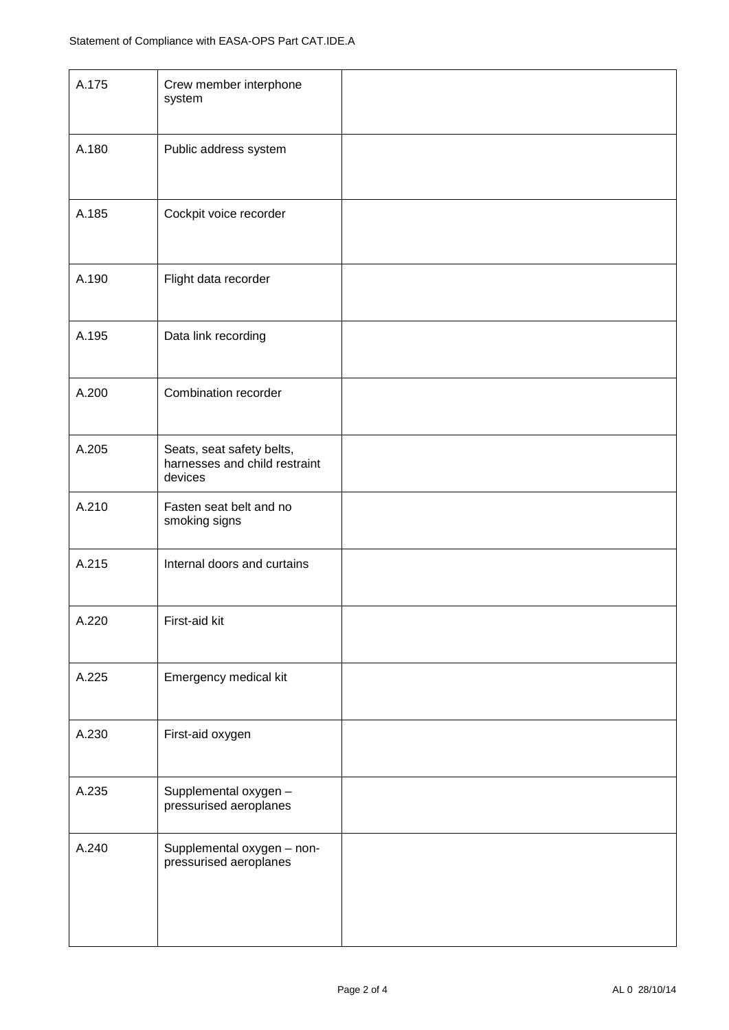| A.175 | Crew member interphone<br>system                                      |  |
|-------|-----------------------------------------------------------------------|--|
| A.180 | Public address system                                                 |  |
| A.185 | Cockpit voice recorder                                                |  |
| A.190 | Flight data recorder                                                  |  |
| A.195 | Data link recording                                                   |  |
| A.200 | Combination recorder                                                  |  |
| A.205 | Seats, seat safety belts,<br>harnesses and child restraint<br>devices |  |
| A.210 | Fasten seat belt and no<br>smoking signs                              |  |
| A.215 | Internal doors and curtains                                           |  |
| A.220 | First-aid kit                                                         |  |
| A.225 | Emergency medical kit                                                 |  |
| A.230 | First-aid oxygen                                                      |  |
| A.235 | Supplemental oxygen -<br>pressurised aeroplanes                       |  |
| A.240 | Supplemental oxygen - non-<br>pressurised aeroplanes                  |  |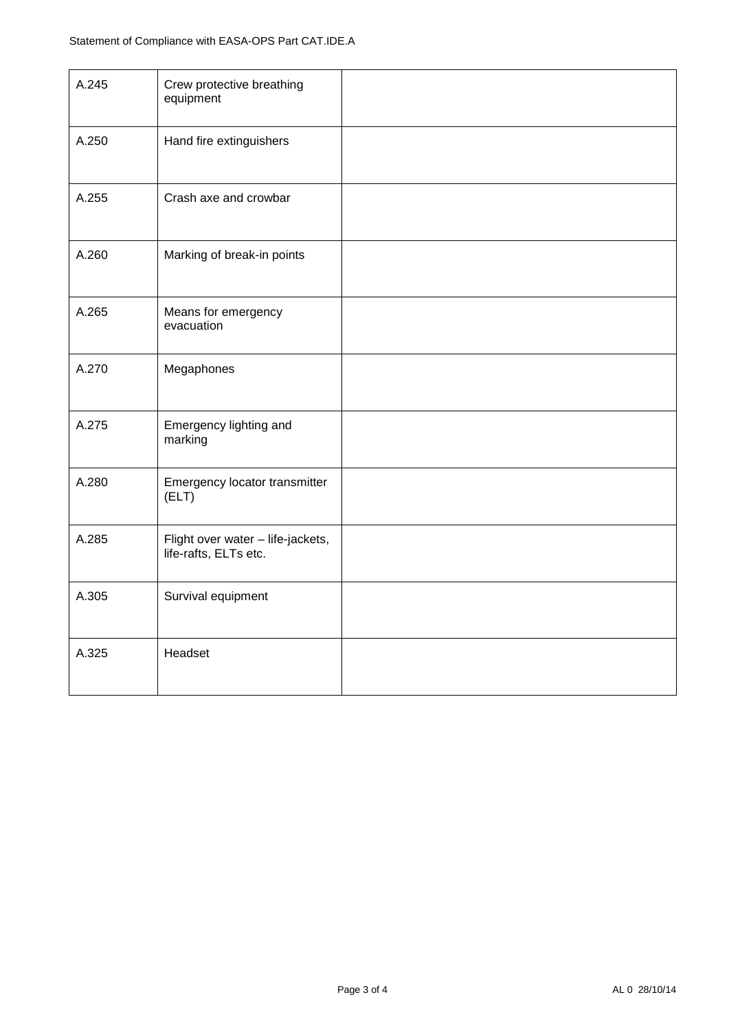| A.245 | Crew protective breathing<br>equipment                     |  |
|-------|------------------------------------------------------------|--|
| A.250 | Hand fire extinguishers                                    |  |
| A.255 | Crash axe and crowbar                                      |  |
| A.260 | Marking of break-in points                                 |  |
| A.265 | Means for emergency<br>evacuation                          |  |
| A.270 | Megaphones                                                 |  |
| A.275 | Emergency lighting and<br>marking                          |  |
| A.280 | Emergency locator transmitter<br>(ELT)                     |  |
| A.285 | Flight over water - life-jackets,<br>life-rafts, ELTs etc. |  |
| A.305 | Survival equipment                                         |  |
| A.325 | Headset                                                    |  |